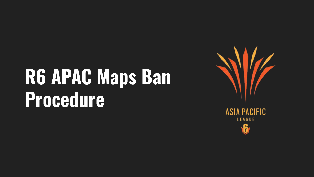# R6 APAC Maps Ban **Procedure**



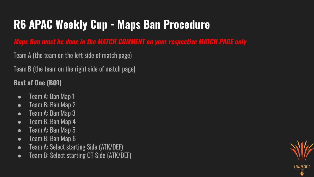**Maps Ban must be done in the MATCH COMMENT on your respective MATCH PAGE only**

Team A (the team on the left side of match page)

Team B (the team on the right side of match page)

#### **Best of One (BO1)**

- Team A: Ban Map 1
- Team B: Ban Map 2
- Team A: Ban Map 3
- Team B: Ban Map 4
- Team A: Ban Map 5
- Team B: Ban Map 6
- Team A: Select starting Side (ATK/DEF)
- Team B: Select starting OT Side (ATK/DEF)

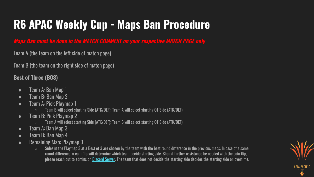**Maps Ban must be done in the MATCH COMMENT on your respective MATCH PAGE only**

Team A (the team on the left side of match page)

Team B (the team on the right side of match page)

**Best of Three (BO3)**

- Team A: Ban Map 1
- Team B: Ban Map 2
- Team A: Pick Playmap 1
	- Team B will select starting Side (ATK/DEF); Team A will select starting OT Side (ATK/DEF)
- Team B: Pick Playmap 2
	- Team A will select starting Side (ATK/DEF); Team B will select starting OT Side (ATK/DEF)
- Team A: Ban Map 3
- Team B: Ban Map 4
- Remaining Map: Playmap 3
	- $\circ$  Sides in the Playmap 3 at a Best of 3 are chosen by the team with the best round difference in the previous maps. In case of a same round difference, a coin flip will determine which team decide starting side. Should further assistance be needed with the coin flip, please reach out to admins on Discord Server. The team that does not decide the starting side decides the starting side on overtime.

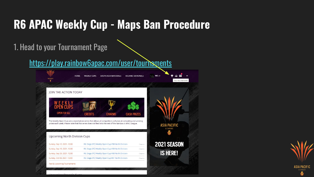1. Head to your Tournament Page

https://play.rainbow6apac.com/user/tournaments



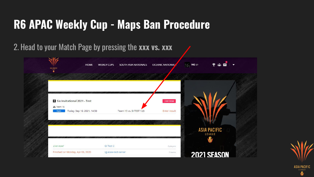### 2. Head to your Match Page by pressing the **xxx vs. xxx**

| ASIA PACIFIC     | <b>HOME</b>                           | SOUTH ASIA NATIONALS<br><b>WEEKLY CUPS</b> | <b>OCEANIC NATIONALS</b> | $N \in \mathbf{N}$ | ● 高図   ▼                      |
|------------------|---------------------------------------|--------------------------------------------|--------------------------|--------------------|-------------------------------|
|                  |                                       |                                            |                          |                    |                               |
| <b>八 Team 15</b> | <b>B</b> Six Invitational 2021 - Test |                                            | Live now                 |                    |                               |
| Open             | Today, Sep 10, 2021, 14:50            | Team 15 vs. SI TEST 123                    | Enter result             |                    |                               |
|                  |                                       |                                            |                          |                    | <b>ASIA PACIFIC</b><br>LEAGUE |
| Live now!        |                                       | GI Test 2                                  | 2 players                |                    | A                             |
|                  | Finished on Monday, Apr 06, 2020      | sg-esea-test-server                        | 2 teams                  |                    | <b>2021 SEASON</b>            |

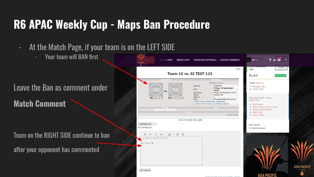- At the Match Page, if your team is on the LEFT SIDE
	- Your team will BAN first

#### Leave the Ban as comment under

**Match Comment**

Team on the RIGHT SIDE continue to ban

after your opponent has commented

|                                                                                                                      | $back$                                                                                                                                                                                                                                                                                                               | <b>UPLAY NICKNAME</b><br>CHANGE<br>nggg4                                                                                   |
|----------------------------------------------------------------------------------------------------------------------|----------------------------------------------------------------------------------------------------------------------------------------------------------------------------------------------------------------------------------------------------------------------------------------------------------------------|----------------------------------------------------------------------------------------------------------------------------|
| Team 15 vs. SI TEST 123                                                                                              | PLAY<br>Team is ready                                                                                                                                                                                                                                                                                                |                                                                                                                            |
| <b>Contestants</b><br>MISSING<br><b>LOGO</b><br><b>MISSING</b><br>LOGO<br>vs.<br>■ Team 15 曲<br><b>SI TEST 123 图</b> | Parameters<br>Status: open<br>42689082<br>MatchID<br>Friday, 10 September<br>Date<br>14:50<br>Calculated<br>Friday, 10 September 14:50<br>Grand Final<br>Round<br>best of<br>$\mathbf{1}$<br>PleaseBanAtMatchComment<br>map<br>· Match setup (enter result, reschedule)<br>· Upload match media (screenshots, demos) | Team: Team 15<br>· Manage roster<br>• Leave roster<br>Today, Sep 10, 2021, 14:50 vs.<br><b>SI TEST 123</b><br>• Match page |
| <b>Result</b><br>×.<br>Lineup:                                                                                       | Media<br>Change lineup                                                                                                                                                                                                                                                                                               | · Enter result or match setup (!)<br>· Upload match media<br>• Match chat<br>• Open protest                                |
| · Show Pre Match Chat Logfile<br>comments $(0)$<br>No comments yet.                                                  |                                                                                                                                                                                                                                                                                                                      | Your results<br>No matches played.                                                                                         |
| P<br>B<br>I am Team 15 on the left side<br>Ban Coastline                                                             |                                                                                                                                                                                                                                                                                                                      |                                                                                                                            |

the local products and distinguished and

PACIFIC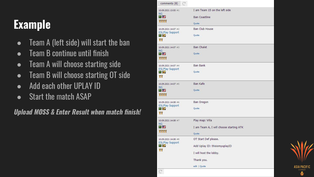# **Example**

- Team A (left side) will start the ban
- Team B continue until finish
- Team A will choose starting side
- Team B will choose starting OT side
- Add each other UPLAY ID
- Start the match ASAP

**Upload MOSS & Enter Result when match finish!**

| comments (8)                                                          | $\mathcal{C}^{\mathbf{z}}$                                                                                    |
|-----------------------------------------------------------------------|---------------------------------------------------------------------------------------------------------------|
| 10.09.2021 13:55 #1<br><b>NG</b><br><b>11 星</b><br><b>8888</b>        | I am Team 15 on the left side<br><b>Ban Coastline</b><br>Quote                                                |
| 10.09.2021 14:07 #2<br><b>ESLPlay Support</b><br>T S<br>ᄬᄬ            | <b>Ban Club House</b><br>Quote                                                                                |
| 10.09.2021 14:07 #3<br><b>NG</b><br>■ 22<br>3333                      | <b>Ban Chalet</b><br>Quote                                                                                    |
| 10.09.2021 14:07 #4<br><b>ESLPlay Support</b><br><b>TA</b><br>婴婴      | <b>Ban Bank</b><br>Quote                                                                                      |
| 10.09.2021 14:07 #5<br><b>NG</b><br>m 22<br><b>YYYY</b>               | <b>Ban Kafe</b><br>Quote                                                                                      |
| 10.09.2021 14:08 #6<br><b>ESLPlay Support</b><br><b>TELESCO</b><br>婴婴 | <b>Ban Oregon</b><br>Quote                                                                                    |
| 10.09.2021 14:08 #7<br><b>NG</b><br>医学<br>3333                        | Play map: Villa<br>I am Team A, I will choose starting ATK<br>Quote                                           |
| 10.09.2021 14:08 #8<br><b>ESLPlay Support</b><br>T. S<br>罗罗           | OT Start Def please.<br>Add Uplay ID: thisismyuplayID<br>I will host the lobby.<br>Thank you.<br>edit   Quote |
| $\sim$                                                                |                                                                                                               |

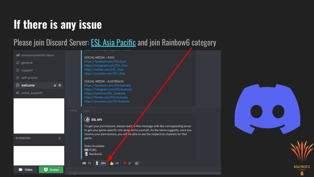### If there is any issue

### Please join Discord Server: **ESL Asia Pacific** and join Rainbow6 category

#### announcements-news

 $#$  general

 $#$  support

 $#$  self-promo

 $\blacksquare$  welcome  $\blacktriangle^*$   $\blacklozenge$ 

● voice\_support

**RAINBOW6** 

SOCIAL MEDIA - ASIA: https://facebook.com/ESLAsia1

> https://instagram.com/ESL\_Asia https://twitter.com/ESL\_Asia https://youtube.com/ESL\_Asia

SOCIAL MEDIA - AUSTRALIA: https://facebook.com/ESLAustralia https://instagram.com/ESLAustralia https://twitch.tv/ESL\_Australia https://twitter.com/ESLAustralia https://youtube.com/ESLAustralia

#### **B** ESL APJ

To get your permissions, please react to this message with the corresponding emoji to get your game-specific role assigned to yourself. As the name suggests, once you receive your permissions, you will be able to see the respective channels for that game.

Roles Available: **FUBI PUBG R** Rainbow6

6 284 ± 29 ₩ 21 € ■ 73